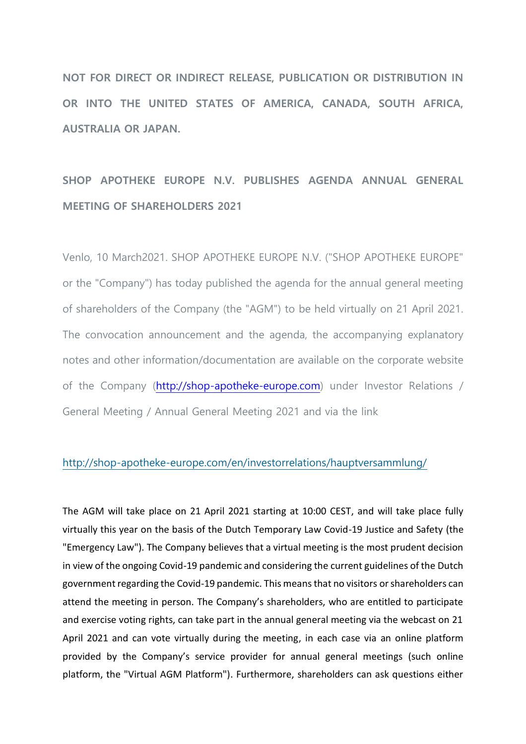**NOT FOR DIRECT OR INDIRECT RELEASE, PUBLICATION OR DISTRIBUTION IN OR INTO THE UNITED STATES OF AMERICA, CANADA, SOUTH AFRICA, AUSTRALIA OR JAPAN.**

## **SHOP APOTHEKE EUROPE N.V. PUBLISHES AGENDA ANNUAL GENERAL MEETING OF SHAREHOLDERS 2021**

Venlo, 10 March2021. SHOP APOTHEKE EUROPE N.V. ("SHOP APOTHEKE EUROPE" or the "Company") has today published the agenda for the annual general meeting of shareholders of the Company (the "AGM") to be held virtually on 21 April 2021. The convocation announcement and the agenda, the accompanying explanatory notes and other information/documentation are available on the corporate website of the Company [\(http://shop-apotheke-europe.com\)](http://shop-apotheke-europe.com/) under Investor Relations / General Meeting / Annual General Meeting 2021 and via the link

## [http://shop-apotheke-europe.com/en/investorrelations/hauptversammlung/](http://public-cockpit.eqs.com/cgi-bin/fncls.ssp?fn=redirect&url=0106375451ae73445fe377bf2c05ee03&application_id=663489&site_id=news_data&application_name=news)

The AGM will take place on 21 April 2021 starting at 10:00 CEST, and will take place fully virtually this year on the basis of the Dutch Temporary Law Covid-19 Justice and Safety (the "Emergency Law"). The Company believes that a virtual meeting is the most prudent decision in view of the ongoing Covid-19 pandemic and considering the current guidelines of the Dutch government regarding the Covid-19 pandemic. This means that no visitors or shareholders can attend the meeting in person. The Company's shareholders, who are entitled to participate and exercise voting rights, can take part in the annual general meeting via the webcast on 21 April 2021 and can vote virtually during the meeting, in each case via an online platform provided by the Company's service provider for annual general meetings (such online platform, the "Virtual AGM Platform"). Furthermore, shareholders can ask questions either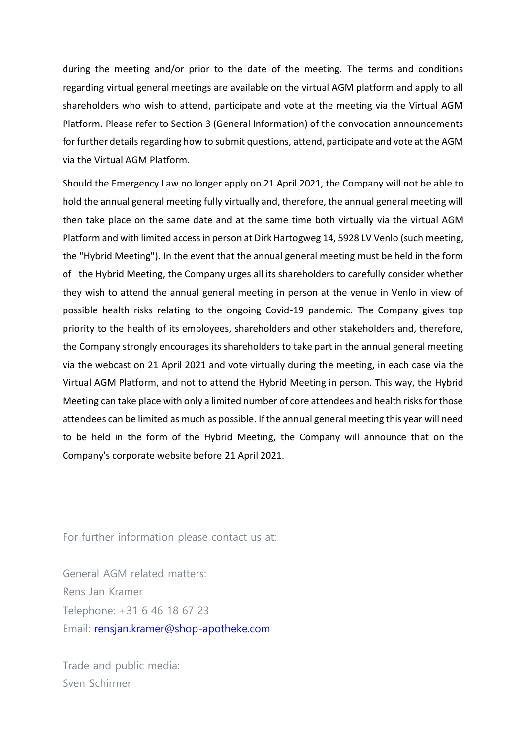during the meeting and/or prior to the date of the meeting. The terms and conditions regarding virtual general meetings are available on the virtual AGM platform and apply to all shareholders who wish to attend, participate and vote at the meeting via the Virtual AGM Platform. Please refer to Section 3 (General Information) of the convocation announcements for further details regarding how to submit questions, attend, participate and vote at the AGM via the Virtual AGM Platform.

Should the Emergency Law no longer apply on 21 April 2021, the Company will not be able to hold the annual general meeting fully virtually and, therefore, the annual general meeting will then take place on the same date and at the same time both virtually via the virtual AGM Platform and with limited access in person at Dirk Hartogweg 14, 5928 LV Venlo (such meeting, the "Hybrid Meeting"). In the event that the annual general meeting must be held in the form of the Hybrid Meeting, the Company urges all its shareholders to carefully consider whether they wish to attend the annual general meeting in person at the venue in Venlo in view of possible health risks relating to the ongoing Covid-19 pandemic. The Company gives top priority to the health of its employees, shareholders and other stakeholders and, therefore, the Company strongly encourages its shareholders to take part in the annual general meeting via the webcast on 21 April 2021 and vote virtually during the meeting, in each case via the Virtual AGM Platform, and not to attend the Hybrid Meeting in person. This way, the Hybrid Meeting can take place with only a limited number of core attendees and health risks for those attendees can be limited as much as possible. If the annual general meeting this year will need to be held in the form of the Hybrid Meeting, the Company will announce that on the Company's corporate website before 21 April 2021.

For further information please contact us at:

General AGM related matters: Rens Jan Kramer Telephone: +31 6 46 18 67 23 Email: [rensjan.kramer@shop-apotheke.com](mailto:rensjan.kramer@shop-apotheke.com)

Trade and public media: Sven Schirmer